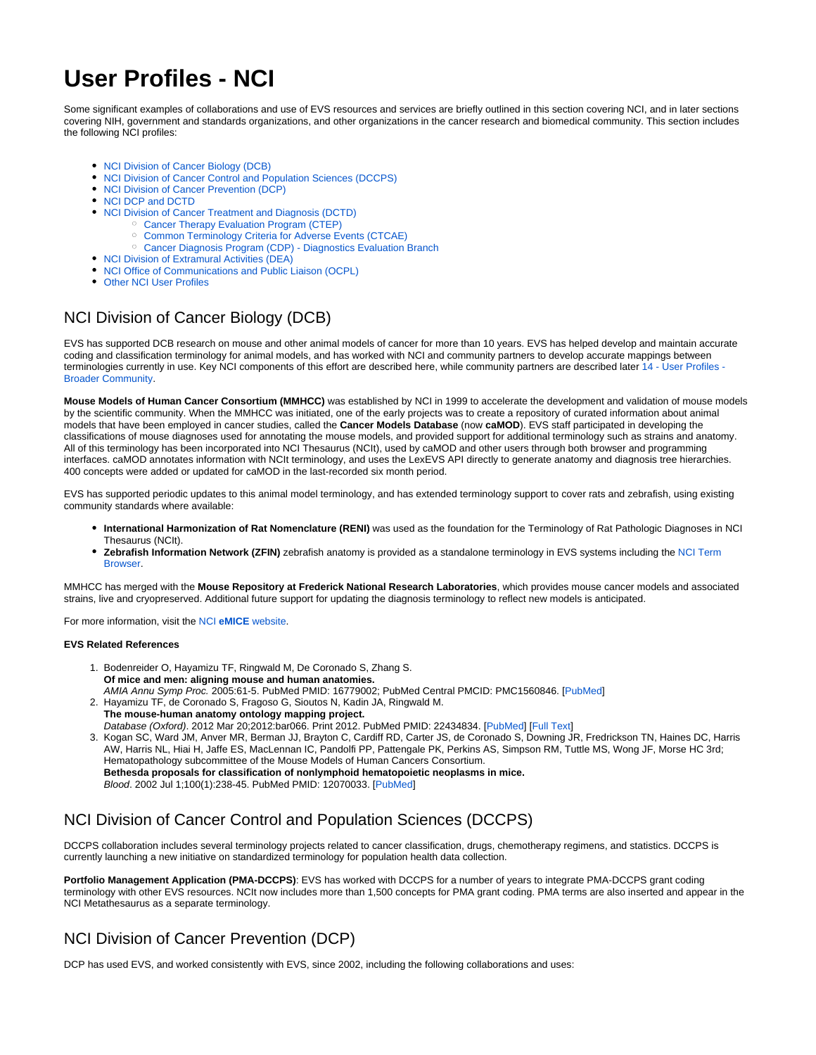# **User Profiles - NCI**

Some significant examples of collaborations and use of EVS resources and services are briefly outlined in this section covering NCI, and in later sections covering NIH, government and standards organizations, and other organizations in the cancer research and biomedical community. This section includes the following NCI profiles:

- [NCI Division of Cancer Biology \(DCB\)](#page-0-0)
- [NCI Division of Cancer Control and Population Sciences \(DCCPS\)](#page-0-1)
- [NCI Division of Cancer Prevention \(DCP\)](#page-0-2)
- [NCI DCP and DCTD](#page-1-0)
- [NCI Division of Cancer Treatment and Diagnosis \(DCTD\)](#page-1-1)
	- [Cancer Therapy Evaluation Program \(CTEP\)](#page-1-2)
	- <sup>o</sup> [Common Terminology Criteria for Adverse Events \(CTCAE\)](#page-1-3)
	- [Cancer Diagnosis Program \(CDP\) Diagnostics Evaluation Branch](#page-1-4)
- [NCI Division of Extramural Activities \(DEA\)](#page-1-5)
- [NCI Office of Communications and Public Liaison \(OCPL\)](#page-1-6)
- [Other NCI User Profiles](#page-2-0)

## <span id="page-0-0"></span>NCI Division of Cancer Biology (DCB)

EVS has supported DCB research on mouse and other animal models of cancer for more than 10 years. EVS has helped develop and maintain accurate coding and classification terminology for animal models, and has worked with NCI and community partners to develop accurate mappings between terminologies currently in use. Key NCI components of this effort are described here, while community partners are described later 14 - User Profiles -[Broader Community.](https://wiki.nci.nih.gov/display/EVS/14+-+User+Profiles+-+Broader+Community)

**Mouse Models of Human Cancer Consortium (MMHCC)** was established by NCI in 1999 to accelerate the development and validation of mouse models by the scientific community. When the MMHCC was initiated, one of the early projects was to create a repository of curated information about animal models that have been employed in cancer studies, called the **Cancer Models Database** (now **caMOD**). EVS staff participated in developing the classifications of mouse diagnoses used for annotating the mouse models, and provided support for additional terminology such as strains and anatomy. All of this terminology has been incorporated into NCI Thesaurus (NCIt), used by caMOD and other users through both browser and programming interfaces. caMOD annotates information with NCIt terminology, and uses the LexEVS API directly to generate anatomy and diagnosis tree hierarchies. 400 concepts were added or updated for caMOD in the last-recorded six month period.

EVS has supported periodic updates to this animal model terminology, and has extended terminology support to cover rats and zebrafish, using existing community standards where available:

- **International Harmonization of Rat Nomenclature (RENI)** was used as the foundation for the Terminology of Rat Pathologic Diagnoses in NCI Thesaurus (NCIt).
- **Zebrafish Information Network (ZFIN)** zebrafish anatomy is provided as a standalone terminology in EVS systems including the [NCI Term](http://nciterms.nci.nih.gov/ncitbrowser/pages/vocabulary.jsf?dictionary=Zebrafish)  [Browser.](http://nciterms.nci.nih.gov/ncitbrowser/pages/vocabulary.jsf?dictionary=Zebrafish)

MMHCC has merged with the **Mouse Repository at Frederick National Research Laboratories**, which provides mouse cancer models and associated strains, live and cryopreserved. Additional future support for updating the diagnosis terminology to reflect new models is anticipated.

For more information, visit the NCI **eMICE** [website.](http://emice.nci.nih.gov/)

#### **EVS Related References**

- 1. Bodenreider O, Hayamizu TF, Ringwald M, De Coronado S, Zhang S. **Of mice and men: aligning mouse and human anatomies.** AMIA Annu Symp Proc. 2005:61-5. PubMed PMID: 16779002; PubMed Central PMCID: PMC1560846. [[PubMed\]](http://www.ncbi.nlm.nih.gov/pubmed/16779002)
- 2. Hayamizu TF, de Coronado S, Fragoso G, Sioutos N, Kadin JA, Ringwald M. **The mouse-human anatomy ontology mapping project.** Database (Oxford). 2012 Mar 20;2012:bar066. Print 2012. PubMed PMID: 22434834. [\[PubMed](http://www.ncbi.nlm.nih.gov/pubmed/22434834)] [\[Full Text](http://database.oxfordjournals.org/content/2012/bar066.full)]
- 3. Kogan SC, Ward JM, Anver MR, Berman JJ, Brayton C, Cardiff RD, Carter JS, de Coronado S, Downing JR, Fredrickson TN, Haines DC, Harris AW, Harris NL, Hiai H, Jaffe ES, MacLennan IC, Pandolfi PP, Pattengale PK, Perkins AS, Simpson RM, Tuttle MS, Wong JF, Morse HC 3rd; Hematopathology subcommittee of the Mouse Models of Human Cancers Consortium. **Bethesda proposals for classification of nonlymphoid hematopoietic neoplasms in mice.** Blood. 2002 Jul 1;100(1):238-45. PubMed PMID: 12070033. [[PubMed\]](http://www.ncbi.nlm.nih.gov/pubmed/12070033)

## <span id="page-0-1"></span>NCI Division of Cancer Control and Population Sciences (DCCPS)

DCCPS collaboration includes several terminology projects related to cancer classification, drugs, chemotherapy regimens, and statistics. DCCPS is currently launching a new initiative on standardized terminology for population health data collection.

**Portfolio Management Application (PMA-DCCPS)**: EVS has worked with DCCPS for a number of years to integrate PMA-DCCPS grant coding terminology with other EVS resources. NCIt now includes more than 1,500 concepts for PMA grant coding. PMA terms are also inserted and appear in the NCI Metathesaurus as a separate terminology.

## <span id="page-0-2"></span>NCI Division of Cancer Prevention (DCP)

DCP has used EVS, and worked consistently with EVS, since 2002, including the following collaborations and uses: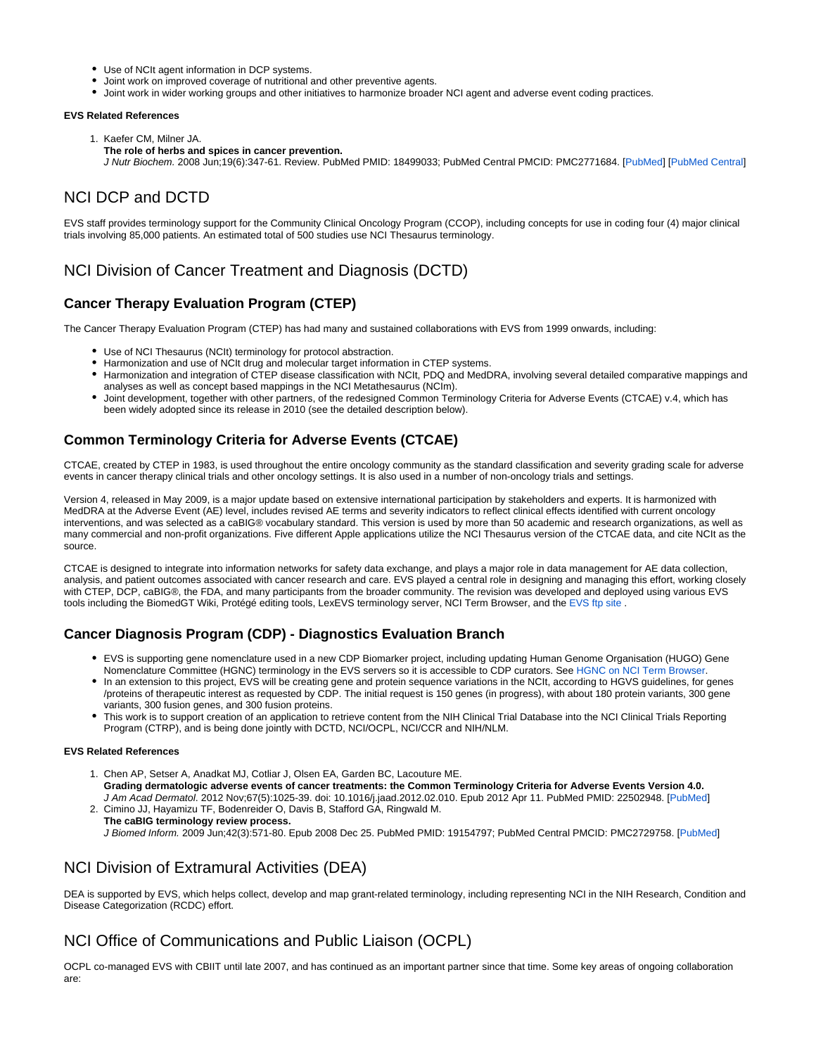- Use of NCIt agent information in DCP systems.
- Joint work on improved coverage of nutritional and other preventive agents.
- Joint work in wider working groups and other initiatives to harmonize broader NCI agent and adverse event coding practices.

#### **EVS Related References**

- 1. Kaefer CM, Milner JA.
- **The role of herbs and spices in cancer prevention.**

J Nutr Biochem. 2008 Jun;19(6):347-61. Review. PubMed PMID: 18499033; PubMed Central PMCID: PMC2771684. [\[PubMed](http://www.ncbi.nlm.nih.gov/pubmed/18499033)] [[PubMed Central\]](http://www.ncbi.nlm.nih.gov/corehtml/query/egifs/http:--www.pubmedcentral.nih.gov-corehtml-pmc-pmcgifs-pubmed-pmc-MS.gif)

## <span id="page-1-0"></span>NCI DCP and DCTD

EVS staff provides terminology support for the Community Clinical Oncology Program (CCOP), including concepts for use in coding four (4) major clinical trials involving 85,000 patients. An estimated total of 500 studies use NCI Thesaurus terminology.

### <span id="page-1-1"></span>NCI Division of Cancer Treatment and Diagnosis (DCTD)

#### <span id="page-1-2"></span>**Cancer Therapy Evaluation Program (CTEP)**

The Cancer Therapy Evaluation Program (CTEP) has had many and sustained collaborations with EVS from 1999 onwards, including:

- Use of NCI Thesaurus (NCIt) terminology for protocol abstraction.
- Harmonization and use of NCIt drug and molecular target information in CTEP systems.
- Harmonization and integration of CTEP disease classification with NCIt, PDQ and MedDRA, involving several detailed comparative mappings and analyses as well as concept based mappings in the NCI Metathesaurus (NCIm).
- Joint development, together with other partners, of the redesigned Common Terminology Criteria for Adverse Events (CTCAE) v.4, which has been widely adopted since its release in 2010 (see the detailed description below).

### <span id="page-1-3"></span>**Common Terminology Criteria for Adverse Events (CTCAE)**

CTCAE, created by CTEP in 1983, is used throughout the entire oncology community as the standard classification and severity grading scale for adverse events in cancer therapy clinical trials and other oncology settings. It is also used in a number of non-oncology trials and settings.

Version 4, released in May 2009, is a major update based on extensive international participation by stakeholders and experts. It is harmonized with MedDRA at the Adverse Event (AE) level, includes revised AE terms and severity indicators to reflect clinical effects identified with current oncology interventions, and was selected as a caBIG® vocabulary standard. This version is used by more than 50 academic and research organizations, as well as many commercial and non-profit organizations. Five different Apple applications utilize the NCI Thesaurus version of the CTCAE data, and cite NCIt as the source.

CTCAE is designed to integrate into information networks for safety data exchange, and plays a major role in data management for AE data collection, analysis, and patient outcomes associated with cancer research and care. EVS played a central role in designing and managing this effort, working closely with CTEP, DCP, caBIG®, the FDA, and many participants from the broader community. The revision was developed and deployed using various EVS tools including the BiomedGT Wiki, Protégé editing tools, LexEVS terminology server, NCI Term Browser, and the [EVS ftp site](http://evs.nci.nih.gov/ftp1/CTCAE/About.html) .

#### <span id="page-1-4"></span>**Cancer Diagnosis Program (CDP) - Diagnostics Evaluation Branch**

- EVS is supporting gene nomenclature used in a new CDP Biomarker project, including updating Human Genome Organisation (HUGO) Gene Nomenclature Committee (HGNC) terminology in the EVS servers so it is accessible to CDP curators. See [HGNC on NCI Term Browser](http://nciterms.nci.nih.gov/ncitbrowser/pages/vocabulary.jsf?dictionary=HGNC).
- In an extension to this project, EVS will be creating gene and protein sequence variations in the NCIt, according to HGVS guidelines, for genes /proteins of therapeutic interest as requested by CDP. The initial request is 150 genes (in progress), with about 180 protein variants, 300 gene variants, 300 fusion genes, and 300 fusion proteins.
- This work is to support creation of an application to retrieve content from the NIH Clinical Trial Database into the NCI Clinical Trials Reporting Program (CTRP), and is being done jointly with DCTD, NCI/OCPL, NCI/CCR and NIH/NLM.

#### **EVS Related References**

- 1. Chen AP, Setser A, Anadkat MJ, Cotliar J, Olsen EA, Garden BC, Lacouture ME. **Grading dermatologic adverse events of cancer treatments: the Common Terminology Criteria for Adverse Events Version 4.0.** J Am Acad Dermatol. 2012 Nov;67(5):1025-39. doi: 10.1016/j.jaad.2012.02.010. Epub 2012 Apr 11. PubMed PMID: 22502948. [[PubMed\]](http://www.ncbi.nlm.nih.gov/pubmed/22502948)
- 2. Cimino JJ, Hayamizu TF, Bodenreider O, Davis B, Stafford GA, Ringwald M. **The caBIG terminology review process.** J Biomed Inform. 2009 Jun;42(3):571-80. Epub 2008 Dec 25. PubMed PMID: 19154797; PubMed Central PMCID: PMC2729758. [\[PubMed](http://www.ncbi.nlm.nih.gov/pubmed/19154797)]

### <span id="page-1-5"></span>NCI Division of Extramural Activities (DEA)

DEA is supported by EVS, which helps collect, develop and map grant-related terminology, including representing NCI in the NIH Research, Condition and Disease Categorization (RCDC) effort.

### <span id="page-1-6"></span>NCI Office of Communications and Public Liaison (OCPL)

OCPL co-managed EVS with CBIIT until late 2007, and has continued as an important partner since that time. Some key areas of ongoing collaboration are: